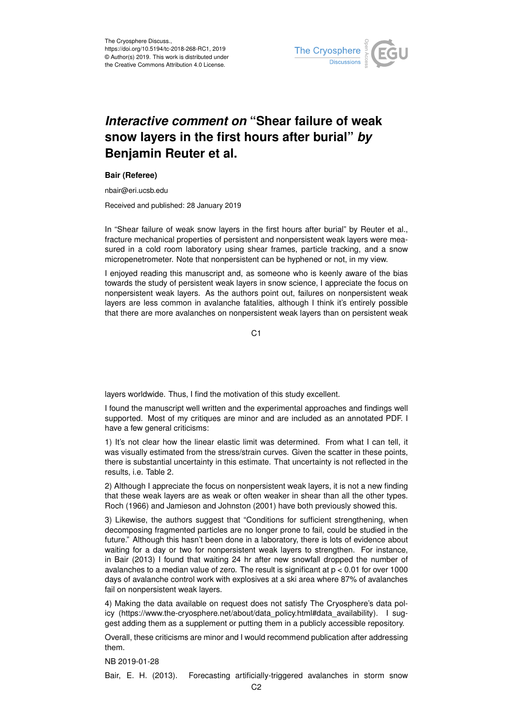

## *Interactive comment on* **"Shear failure of weak snow layers in the first hours after burial"** *by* **Benjamin Reuter et al.**

## **Bair (Referee)**

nbair@eri.ucsb.edu

Received and published: 28 January 2019

In "Shear failure of weak snow layers in the first hours after burial" by Reuter et al., fracture mechanical properties of persistent and nonpersistent weak layers were measured in a cold room laboratory using shear frames, particle tracking, and a snow micropenetrometer. Note that nonpersistent can be hyphened or not, in my view.

I enjoyed reading this manuscript and, as someone who is keenly aware of the bias towards the study of persistent weak layers in snow science, I appreciate the focus on nonpersistent weak layers. As the authors point out, failures on nonpersistent weak layers are less common in avalanche fatalities, although I think it's entirely possible that there are more avalanches on nonpersistent weak layers than on persistent weak

C1

layers worldwide. Thus, I find the motivation of this study excellent.

I found the manuscript well written and the experimental approaches and findings well supported. Most of my critiques are minor and are included as an annotated PDF. I have a few general criticisms:

1) It's not clear how the linear elastic limit was determined. From what I can tell, it was visually estimated from the stress/strain curves. Given the scatter in these points, there is substantial uncertainty in this estimate. That uncertainty is not reflected in the results, i.e. Table 2.

2) Although I appreciate the focus on nonpersistent weak layers, it is not a new finding that these weak layers are as weak or often weaker in shear than all the other types. Roch (1966) and Jamieson and Johnston (2001) have both previously showed this.

3) Likewise, the authors suggest that "Conditions for sufficient strengthening, when decomposing fragmented particles are no longer prone to fail, could be studied in the future." Although this hasn't been done in a laboratory, there is lots of evidence about waiting for a day or two for nonpersistent weak layers to strengthen. For instance, in Bair (2013) I found that waiting 24 hr after new snowfall dropped the number of avalanches to a median value of zero. The result is significant at  $p < 0.01$  for over 1000 days of avalanche control work with explosives at a ski area where 87% of avalanches fail on nonpersistent weak layers.

4) Making the data available on request does not satisfy The Cryosphere's data policy (https://www.the-cryosphere.net/about/data\_policy.html#data\_availability). I suggest adding them as a supplement or putting them in a publicly accessible repository.

Overall, these criticisms are minor and I would recommend publication after addressing them.

NB 2019-01-28

Bair, E. H. (2013). Forecasting artificially-triggered avalanches in storm snow